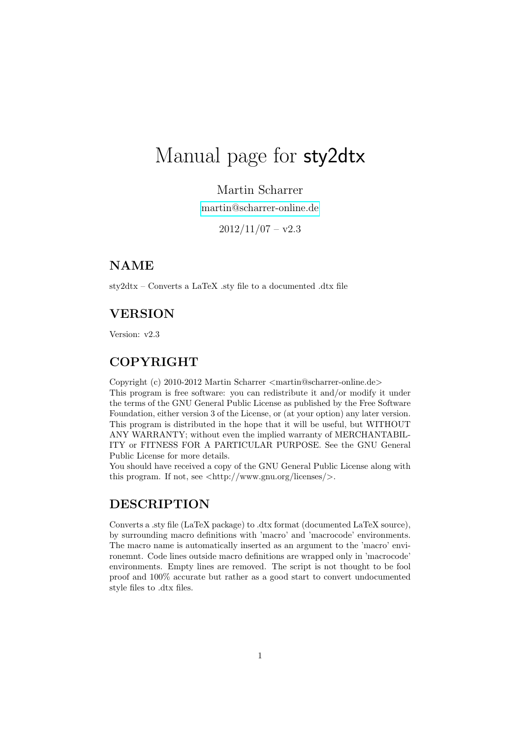# Manual page for sty2dtx

## Martin Scharrer

[martin@scharrer-online.de](mailto:martin@scharrer-online.de)

 $2012/11/07 - v2.3$ 

# NAME

sty2dtx – Converts a LaTeX .sty file to a documented .dtx file

## VERSION

Version: v2.3

## COPYRIGHT

Copyright (c) 2010-2012 Martin Scharrer <martin@scharrer-online.de> This program is free software: you can redistribute it and/or modify it under the terms of the GNU General Public License as published by the Free Software Foundation, either version 3 of the License, or (at your option) any later version. This program is distributed in the hope that it will be useful, but WITHOUT ANY WARRANTY; without even the implied warranty of MERCHANTABIL-ITY or FITNESS FOR A PARTICULAR PURPOSE. See the GNU General Public License for more details.

You should have received a copy of the GNU General Public License along with this program. If not, see  $\langle \text{http://www.gnu.org/licenses/>}.\rangle$ 

# **DESCRIPTION**

Converts a .sty file (LaTeX package) to .dtx format (documented LaTeX source), by surrounding macro definitions with 'macro' and 'macrocode' environments. The macro name is automatically inserted as an argument to the 'macro' environemnt. Code lines outside macro definitions are wrapped only in 'macrocode' environments. Empty lines are removed. The script is not thought to be fool proof and 100% accurate but rather as a good start to convert undocumented style files to .dtx files.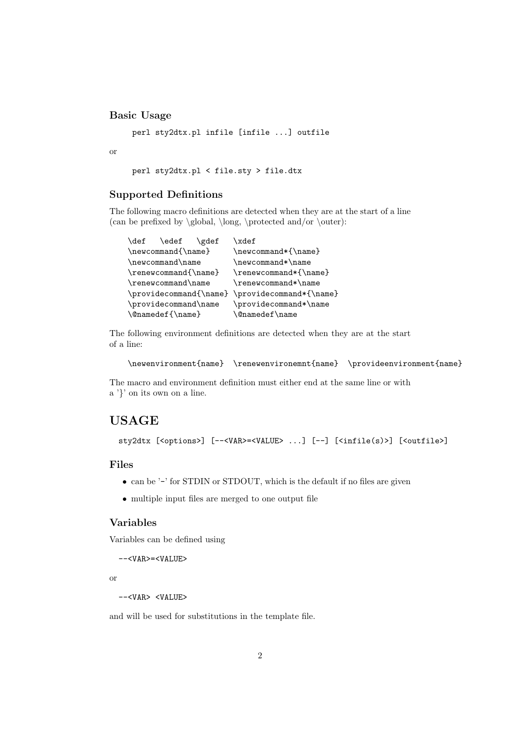#### Basic Usage

perl sty2dtx.pl infile [infile ...] outfile

or

perl sty2dtx.pl < file.sty > file.dtx

#### Supported Definitions

The following macro definitions are detected when they are at the start of a line (can be prefixed by  $\gtrdot\partial$ ,  $\longdot\partial$  and/or  $\outer$ ):

| \def                 | \edef | \gdef | \xdef                                          |
|----------------------|-------|-------|------------------------------------------------|
| \newcommand{\name}   |       |       | \newcommand*{\name}                            |
| \newcommand\name     |       |       | \newcommand*\name                              |
| \renewcommand{\name} |       |       | \renewcommand*{\name}                          |
| \renewcommand\name   |       |       | \renewcommand*\name                            |
|                      |       |       | \providecommand{\name} \providecommand*{\name} |
| \providecommand\name |       |       | \providecommand*\name                          |
| \@namedef{\name}     |       |       | <b>\@namedef\name</b>                          |

The following environment definitions are detected when they are at the start of a line:

```
\newenvironment{name} \renewenvironemnt{name} \provideenvironment{name}
```
The macro and environment definition must either end at the same line or with a '}' on its own on a line.

# USAGE

sty2dtx [<options>] [--<VAR>=<VALUE> ...] [--] [<infile(s)>] [<outfile>]

#### Files

- can be '-' for STDIN or STDOUT, which is the default if no files are given
- multiple input files are merged to one output file

## Variables

Variables can be defined using

```
--<VAR>=<VALUE>
```
or

```
--<VAR> <VALUE>
```
and will be used for substitutions in the template file.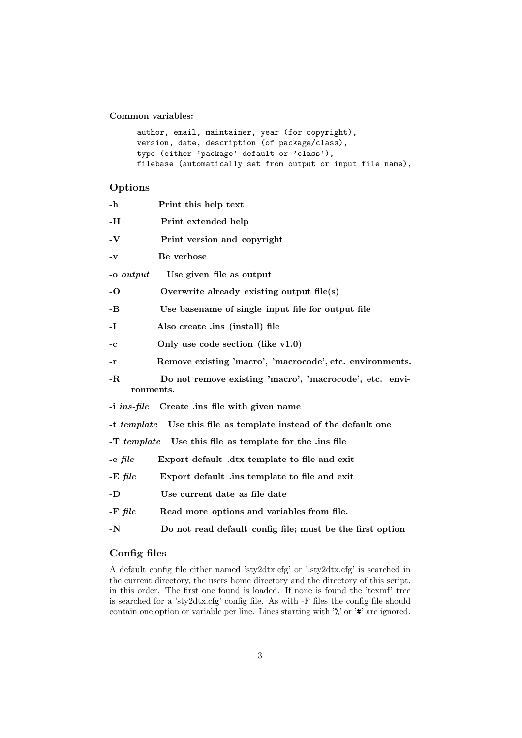Common variables:

```
author, email, maintainer, year (for copyright),
version, date, description (of package/class),
type (either 'package' default or 'class'),
filebase (automatically set from output or input file name),
```
## Options

| -h                                                      | Print this help text                                      |  |  |
|---------------------------------------------------------|-----------------------------------------------------------|--|--|
| -Н                                                      | Print extended help                                       |  |  |
| $\mathbf{-V}$                                           | Print version and copyright                               |  |  |
| -v                                                      | Be verbose                                                |  |  |
| -o output                                               | Use given file as output                                  |  |  |
| -0                                                      | Overwrite already existing output $file(s)$               |  |  |
| -В                                                      | Use basename of single input file for output file         |  |  |
| -1                                                      | Also create .ins (install) file                           |  |  |
| -c                                                      | Only use code section (like $v1.0$ )                      |  |  |
| -r                                                      | Remove existing 'macro', 'macrocode', etc. environments.  |  |  |
| -R<br>ronments.                                         | Do not remove existing 'macro', 'macrocode', etc. envi-   |  |  |
| $-i$ ins-file                                           | Create .ins file with given name                          |  |  |
| $-t$ template                                           | Use this file as template instead of the default one      |  |  |
| -T template Use this file as template for the .ins file |                                                           |  |  |
| -e file                                                 | Export default .dtx template to file and exit             |  |  |
| $-E$ file                                               | Export default .ins template to file and exit             |  |  |
| -D                                                      | Use current date as file date                             |  |  |
| $-F$ file                                               | Read more options and variables from file.                |  |  |
| -N                                                      | Do not read default config file; must be the first option |  |  |
|                                                         |                                                           |  |  |

## Config files

A default config file either named 'sty2dtx.cfg' or '.sty2dtx.cfg' is searched in the current directory, the users home directory and the directory of this script, in this order. The first one found is loaded. If none is found the 'texmf' tree is searched for a 'sty2dtx.cfg' config file. As with -F files the config file should contain one option or variable per line. Lines starting with '%' or '#' are ignored.